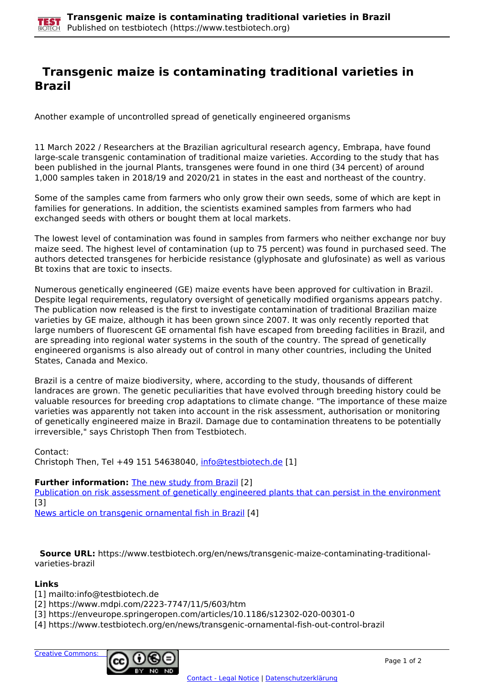## **Transgenic maize is contaminating traditional varieties in Brazil**

Another example of uncontrolled spread of genetically engineered organisms

11 March 2022 / Researchers at the Brazilian agricultural research agency, Embrapa, have found large-scale transgenic contamination of traditional maize varieties. According to the study that has been published in the journal Plants, transgenes were found in one third (34 percent) of around 1,000 samples taken in 2018/19 and 2020/21 in states in the east and northeast of the country.

Some of the samples came from farmers who only grow their own seeds, some of which are kept in families for generations. In addition, the scientists examined samples from farmers who had exchanged seeds with others or bought them at local markets.

The lowest level of contamination was found in samples from farmers who neither exchange nor buy maize seed. The highest level of contamination (up to 75 percent) was found in purchased seed. The authors detected transgenes for herbicide resistance (glyphosate and glufosinate) as well as various Bt toxins that are toxic to insects.

Numerous genetically engineered (GE) maize events have been approved for cultivation in Brazil. Despite legal requirements, regulatory oversight of genetically modified organisms appears patchy. The publication now released is the first to investigate contamination of traditional Brazilian maize varieties by GE maize, although it has been grown since 2007. It was only recently reported that large numbers of fluorescent GE ornamental fish have escaped from breeding facilities in Brazil, and are spreading into regional water systems in the south of the country. The spread of genetically engineered organisms is also already out of control in many other countries, including the United States, Canada and Mexico.

Brazil is a centre of maize biodiversity, where, according to the study, thousands of different landraces are grown. The genetic peculiarities that have evolved through breeding history could be valuable resources for breeding crop adaptations to climate change. "The importance of these maize varieties was apparently not taken into account in the risk assessment, authorisation or monitoring of genetically engineered maize in Brazil. Damage due to contamination threatens to be potentially irreversible," says Christoph Then from Testbiotech.

Contact:

Christoph Then, Tel +49 151 54638040, [info@testbiotech.de](mailto:info@testbiotech.de) [1]

## **Further information:** The new study from Brazil [2]

Publication on risk assessment of genetically engineered plants that can persist in the environment [3]

News article on transgenic ornamental fish in Brazil [4]

 **Source URL:** https://www.testbiotech.org/en/news/transgenic-maize-contaminating-traditionalvarieties-brazil

## **Links**

[1] mailto:info@testbiotech.de

[2] https://www.mdpi.com/2223-7747/11/5/603/htm

[3] https://enveurope.springeropen.com/articles/10.1186/s12302-020-00301-0

[4] https://www.testbiotech.org/en/news/transgenic-ornamental-fish-out-control-brazil

Creative Commons: